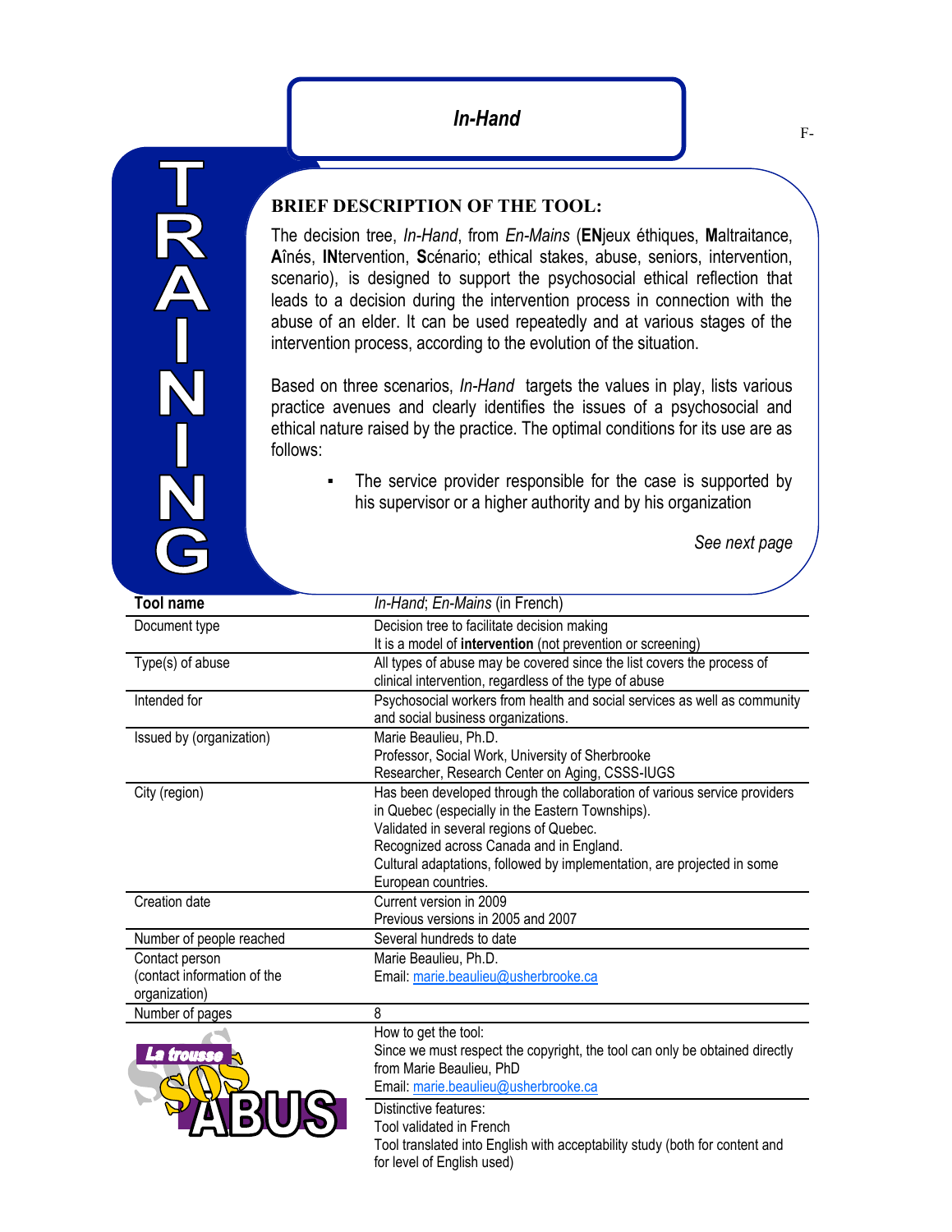TRA-N

The decision tree, *In-Hand*, from *En-Mains* (**EN**jeux éthiques, **M**altraitance, **A**înés, **IN**tervention, **S**cénario; ethical stakes, abuse, seniors, intervention, scenario), is designed to support the psychosocial ethical reflection that leads to a decision during the intervention process in connection with the abuse of an elder. It can be used repeatedly and at various stages of the intervention process, according to the evolution of the situation.

Based on three scenarios, *In-Hand* targets the values in play, lists various practice avenues and clearly identifies the issues of a psychosocial and ethical nature raised by the practice. The optimal conditions for its use are as follows:

> The service provider responsible for the case is supported by his supervisor or a higher authority and by his organization

> > *See next page*

| <b>Tool name</b>            | In-Hand; En-Mains (in French)                                               |
|-----------------------------|-----------------------------------------------------------------------------|
| Document type               | Decision tree to facilitate decision making                                 |
|                             | It is a model of intervention (not prevention or screening)                 |
| Type(s) of abuse            | All types of abuse may be covered since the list covers the process of      |
|                             | clinical intervention, regardless of the type of abuse                      |
| Intended for                | Psychosocial workers from health and social services as well as community   |
|                             | and social business organizations.                                          |
| Issued by (organization)    | Marie Beaulieu, Ph.D.                                                       |
|                             | Professor, Social Work, University of Sherbrooke                            |
|                             | Researcher, Research Center on Aging, CSSS-IUGS                             |
| City (region)               | Has been developed through the collaboration of various service providers   |
|                             | in Quebec (especially in the Eastern Townships).                            |
|                             | Validated in several regions of Quebec.                                     |
|                             | Recognized across Canada and in England.                                    |
|                             | Cultural adaptations, followed by implementation, are projected in some     |
|                             | European countries.                                                         |
| Creation date               | Current version in 2009                                                     |
|                             | Previous versions in 2005 and 2007                                          |
| Number of people reached    | Several hundreds to date                                                    |
| Contact person              | Marie Beaulieu, Ph.D.                                                       |
| (contact information of the | Email: marie.beaulieu@usherbrooke.ca                                        |
| organization)               |                                                                             |
| Number of pages             | 8                                                                           |
|                             | How to get the tool:                                                        |
| La trousse                  | Since we must respect the copyright, the tool can only be obtained directly |
|                             | from Marie Beaulieu, PhD                                                    |
|                             | Email: marie.beaulieu@usherbrooke.ca                                        |
|                             | Distinctive features:                                                       |
|                             | Tool validated in French                                                    |
|                             | Tool translated into English with acceptability study (both for content and |
|                             | for level of English used)                                                  |
|                             |                                                                             |